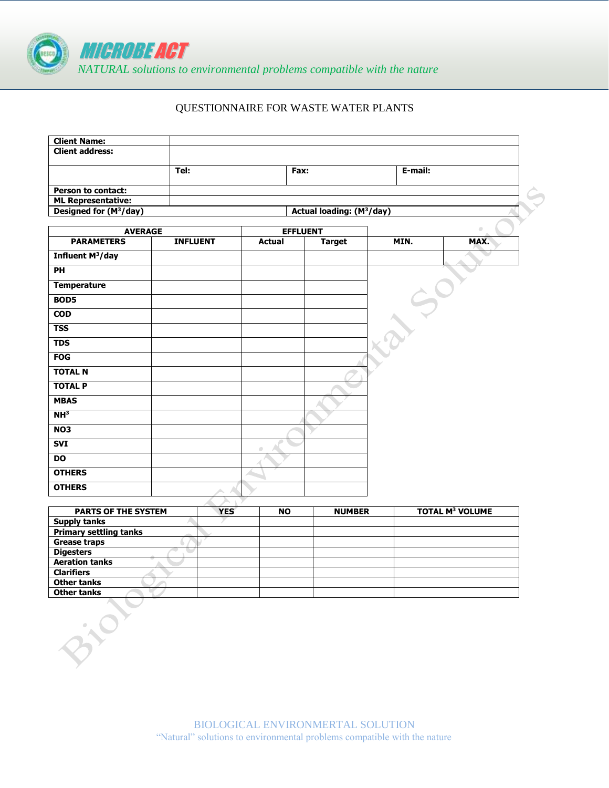

## QUESTIONNAIRE FOR WASTE WATER PLANTS

|                                                      |                                                                                             |               |                   |                                                   | $\begin{array}{c} \begin{array}{c} \begin{array}{c} \begin{array}{c} \end{array} \end{array} \end{array} \end{array} \end{array}$ |
|------------------------------------------------------|---------------------------------------------------------------------------------------------|---------------|-------------------|---------------------------------------------------|-----------------------------------------------------------------------------------------------------------------------------------|
|                                                      |                                                                                             |               |                   |                                                   | MAX.                                                                                                                              |
|                                                      |                                                                                             |               |                   |                                                   |                                                                                                                                   |
|                                                      |                                                                                             |               |                   |                                                   |                                                                                                                                   |
|                                                      |                                                                                             |               |                   |                                                   |                                                                                                                                   |
|                                                      |                                                                                             |               |                   |                                                   |                                                                                                                                   |
|                                                      |                                                                                             |               |                   |                                                   |                                                                                                                                   |
|                                                      |                                                                                             |               |                   |                                                   |                                                                                                                                   |
|                                                      |                                                                                             |               |                   |                                                   |                                                                                                                                   |
|                                                      |                                                                                             |               |                   |                                                   |                                                                                                                                   |
|                                                      |                                                                                             |               |                   |                                                   |                                                                                                                                   |
|                                                      |                                                                                             |               |                   |                                                   |                                                                                                                                   |
|                                                      |                                                                                             |               |                   |                                                   |                                                                                                                                   |
|                                                      |                                                                                             |               |                   |                                                   |                                                                                                                                   |
|                                                      |                                                                                             |               |                   |                                                   |                                                                                                                                   |
|                                                      |                                                                                             |               |                   |                                                   |                                                                                                                                   |
|                                                      |                                                                                             |               |                   |                                                   |                                                                                                                                   |
|                                                      |                                                                                             |               |                   |                                                   |                                                                                                                                   |
|                                                      |                                                                                             |               |                   |                                                   |                                                                                                                                   |
|                                                      | $\begin{array}{ccc} \bullet & \bullet & \bullet \\ \bullet & \bullet & \bullet \end{array}$ |               |                   |                                                   |                                                                                                                                   |
|                                                      |                                                                                             |               |                   |                                                   |                                                                                                                                   |
|                                                      |                                                                                             |               |                   |                                                   |                                                                                                                                   |
|                                                      |                                                                                             |               |                   |                                                   |                                                                                                                                   |
|                                                      |                                                                                             |               |                   |                                                   |                                                                                                                                   |
|                                                      |                                                                                             |               |                   |                                                   | <b>TOTAL M<sup>3</sup> VOLUME</b>                                                                                                 |
|                                                      |                                                                                             |               |                   |                                                   |                                                                                                                                   |
|                                                      |                                                                                             |               |                   |                                                   |                                                                                                                                   |
|                                                      |                                                                                             |               |                   |                                                   |                                                                                                                                   |
|                                                      |                                                                                             |               |                   |                                                   |                                                                                                                                   |
|                                                      |                                                                                             |               |                   |                                                   |                                                                                                                                   |
|                                                      |                                                                                             |               |                   |                                                   |                                                                                                                                   |
|                                                      |                                                                                             |               |                   |                                                   |                                                                                                                                   |
| Tel:<br><b>AVERAGE</b><br><b>PARTS OF THE SYSTEM</b> | <b>INFLUENT</b><br><b>YES</b>                                                               | <b>Actual</b> | Fax:<br><b>NO</b> | <b>EFFLUENT</b><br><b>Target</b><br><b>NUMBER</b> | E-mail:<br>Actual loading: (M <sup>3</sup> /day)<br>MIN.                                                                          |

**Other tanks**